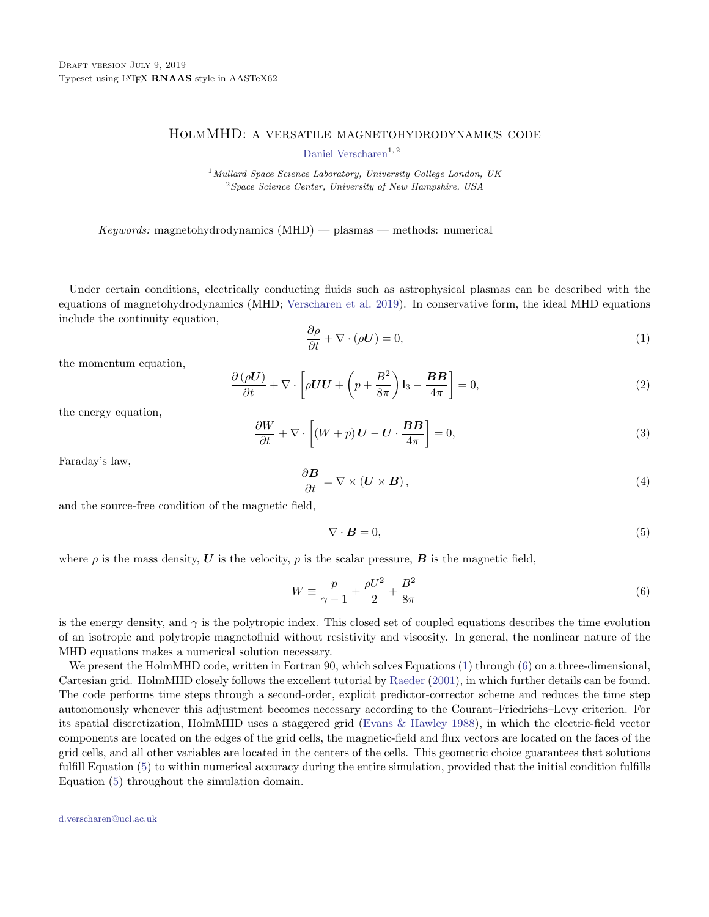## HolmMHD: a versatile magnetohydrodynamics code

[Daniel Verscharen](http://orcid.org/0000-0002-0497-1096)<sup>1, 2</sup>

<sup>1</sup> Mullard Space Science Laboratory, University College London, UK  $2$  Space Science Center, University of New Hampshire, USA

 $Keywords:$  magnetohydrodynamics  $(MHD)$  — plasmas — methods: numerical

Under certain conditions, electrically conducting fluids such as astrophysical plasmas can be described with the equations of magnetohydrodynamics (MHD; [Verscharen et al.](#page-2-0) [2019\)](#page-2-0). In conservative form, the ideal MHD equations include the continuity equation,

$$
\frac{\partial \rho}{\partial t} + \nabla \cdot (\rho \mathbf{U}) = 0,\tag{1}
$$

the momentum equation,

<span id="page-0-4"></span><span id="page-0-1"></span>
$$
\frac{\partial (\rho U)}{\partial t} + \nabla \cdot \left[ \rho U U + \left( p + \frac{B^2}{8\pi} \right) I_3 - \frac{BB}{4\pi} \right] = 0,
$$
\n(2)

the energy equation,

$$
\frac{\partial W}{\partial t} + \nabla \cdot \left[ (W + p) \mathbf{U} - \mathbf{U} \cdot \frac{\mathbf{B} \mathbf{B}}{4\pi} \right] = 0,
$$
\n(3)

Faraday's law,

<span id="page-0-3"></span>
$$
\frac{\partial \mathbf{B}}{\partial t} = \nabla \times (\mathbf{U} \times \mathbf{B}),\tag{4}
$$

and the source-free condition of the magnetic field,

<span id="page-0-2"></span>
$$
\nabla \cdot \mathbf{B} = 0,\tag{5}
$$

where  $\rho$  is the mass density, U is the velocity, p is the scalar pressure, B is the magnetic field,

$$
W \equiv \frac{p}{\gamma - 1} + \frac{\rho U^2}{2} + \frac{B^2}{8\pi}
$$
 (6)

is the energy density, and  $\gamma$  is the polytropic index. This closed set of coupled equations describes the time evolution of an isotropic and polytropic magnetofluid without resistivity and viscosity. In general, the nonlinear nature of the MHD equations makes a numerical solution necessary.

We present the HolmMHD code, written in Fortran 90, which solves Equations [\(1\)](#page-0-1) through [\(6\)](#page-0-2) on a three-dimensional, Cartesian grid. HolmMHD closely follows the excellent tutorial by [Raeder](#page-2-1) [\(2001\)](#page-2-1), in which further details can be found. The code performs time steps through a second-order, explicit predictor-corrector scheme and reduces the time step autonomously whenever this adjustment becomes necessary according to the Courant–Friedrichs–Levy criterion. For its spatial discretization, HolmMHD uses a staggered grid [\(Evans & Hawley](#page-2-2) [1988\)](#page-2-2), in which the electric-field vector components are located on the edges of the grid cells, the magnetic-field and flux vectors are located on the faces of the grid cells, and all other variables are located in the centers of the cells. This geometric choice guarantees that solutions fulfill Equation [\(5\)](#page-0-3) to within numerical accuracy during the entire simulation, provided that the initial condition fulfills Equation [\(5\)](#page-0-3) throughout the simulation domain.

<span id="page-0-0"></span>[d.verscharen@ucl.ac.uk](mailto: d.verscharen@ucl.ac.uk)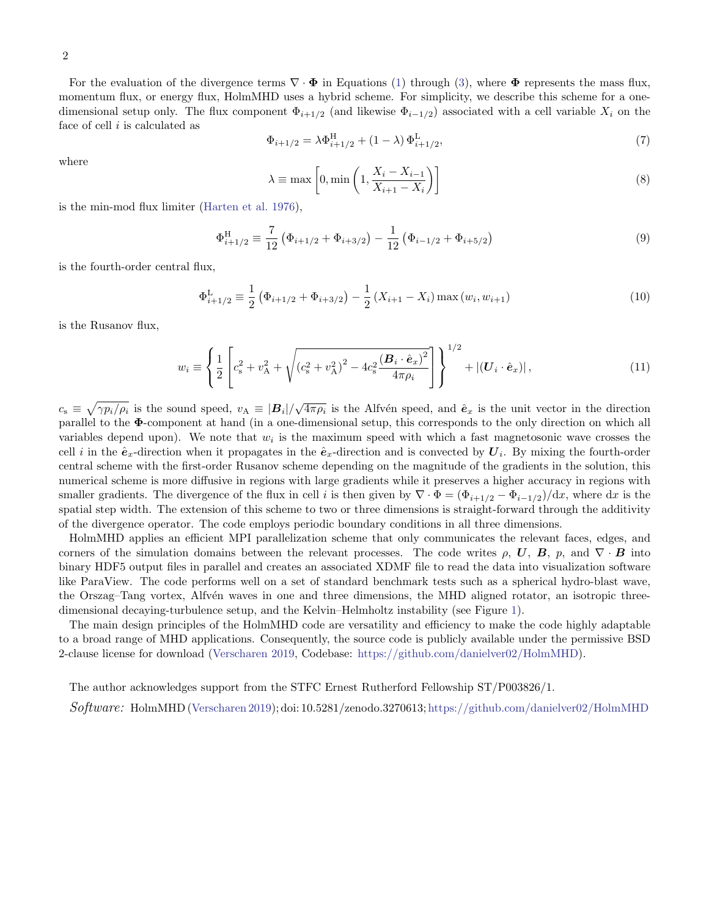For the evaluation of the divergence terms  $\nabla \cdot \mathbf{\Phi}$  in Equations [\(1\)](#page-0-1) through [\(3\)](#page-0-4), where  $\mathbf{\Phi}$  represents the mass flux, momentum flux, or energy flux, HolmMHD uses a hybrid scheme. For simplicity, we describe this scheme for a onedimensional setup only. The flux component  $\Phi_{i+1/2}$  (and likewise  $\Phi_{i-1/2}$ ) associated with a cell variable  $X_i$  on the face of cell  $i$  is calculated as

$$
\Phi_{i+1/2} = \lambda \Phi_{i+1/2}^{\text{H}} + (1 - \lambda) \Phi_{i+1/2}^{\text{L}},\tag{7}
$$

where

$$
\lambda \equiv \max\left[0, \min\left(1, \frac{X_i - X_{i-1}}{X_{i+1} - X_i}\right)\right]
$$
\n(8)

is the min-mod flux limiter [\(Harten et al.](#page-2-3) [1976\)](#page-2-3),

$$
\Phi_{i+1/2}^{\text{H}} \equiv \frac{7}{12} \left( \Phi_{i+1/2} + \Phi_{i+3/2} \right) - \frac{1}{12} \left( \Phi_{i-1/2} + \Phi_{i+5/2} \right) \tag{9}
$$

is the fourth-order central flux,

$$
\Phi_{i+1/2}^{\mathcal{L}} \equiv \frac{1}{2} \left( \Phi_{i+1/2} + \Phi_{i+3/2} \right) - \frac{1}{2} \left( X_{i+1} - X_i \right) \max \left( w_i, w_{i+1} \right) \tag{10}
$$

is the Rusanov flux,

$$
w_i \equiv \left\{ \frac{1}{2} \left[ c_s^2 + v_A^2 + \sqrt{(c_s^2 + v_A^2)^2 - 4c_s^2 \frac{(\boldsymbol{B}_i \cdot \hat{\boldsymbol{e}}_x)^2}{4\pi \rho_i}} \right] \right\}^{1/2} + |(\boldsymbol{U}_i \cdot \hat{\boldsymbol{e}}_x)| \,, \tag{11}
$$

 $c_s \equiv \sqrt{\gamma p_i/\rho_i}$  is the sound speed,  $v_A \equiv |\mathbf{B}_i|/\sqrt{4\pi\rho_i}$  is the Alfvén speed, and  $\hat{\mathbf{e}}_x$  is the unit vector in the direction parallel to the Φ-component at hand (in a one-dimensional setup, this corresponds to the only direction on which all variables depend upon). We note that  $w_i$  is the maximum speed with which a fast magnetosonic wave crosses the cell i in the  $\hat{e}_x$ -direction when it propagates in the  $\hat{e}_x$ -direction and is convected by  $U_i$ . By mixing the fourth-order central scheme with the first-order Rusanov scheme depending on the magnitude of the gradients in the solution, this numerical scheme is more diffusive in regions with large gradients while it preserves a higher accuracy in regions with smaller gradients. The divergence of the flux in cell i is then given by  $\nabla \cdot \Phi = (\Phi_{i+1/2} - \Phi_{i-1/2})/dx$ , where dx is the spatial step width. The extension of this scheme to two or three dimensions is straight-forward through the additivity of the divergence operator. The code employs periodic boundary conditions in all three dimensions.

HolmMHD applies an efficient MPI parallelization scheme that only communicates the relevant faces, edges, and corners of the simulation domains between the relevant processes. The code writes  $\rho$ , U, B,  $p$ , and  $\nabla \cdot \mathbf{B}$  into binary HDF5 output files in parallel and creates an associated XDMF file to read the data into visualization software like ParaView. The code performs well on a set of standard benchmark tests such as a spherical hydro-blast wave, the Orszag–Tang vortex, Alfvén waves in one and three dimensions, the MHD aligned rotator, an isotropic threedimensional decaying-turbulence setup, and the Kelvin–Helmholtz instability (see Figure [1\)](#page-2-4).

The main design principles of the HolmMHD code are versatility and efficiency to make the code highly adaptable to a broad range of MHD applications. Consequently, the source code is publicly available under the permissive BSD 2-clause license for download [\(Verscharen](#page-2-5) [2019,](#page-2-5) Codebase: [https://github.com/danielver02/HolmMHD\)](https://github.com/danielver02/HolmMHD).

The author acknowledges support from the STFC Ernest Rutherford Fellowship ST/P003826/1.

Software: HolmMHD [\(Verscharen](#page-2-5) [2019\)](#page-2-5); doi: 10.5281/zenodo.3270613; <https://github.com/danielver02/HolmMHD>